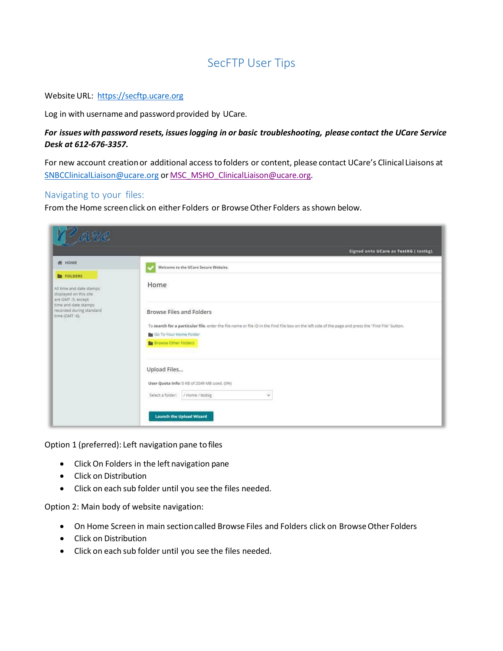# SecFTP User Tips

#### Website URL: [https://secftp.ucare.org](https://secftp.ucare.org/)

Log in with username and password provided by UCare.

### *For issues with password resets, issueslogging in or basic troubleshooting, please contact the UCare Service Desk at 612-676-3357.*

For new account creationor additional access tofolders or content, please contact UCare's Clinical Liaisons at [SNBCClinicalLiaison@ucare.org](mailto:SNBCClinicalLiaison@ucare.org) or [MSC\\_MSHO\\_ClinicalLiaison@ucare.org.](mailto:MSC_MSHO_ClinicalLiaison@ucare.org)

#### Navigating to your files:

From the Home screen click on either Folders or Browse Other Folders as shown below.

| [ <sup>D'</sup> arre                                                                          |                                                                                                                                                                                                                                                   |  |  |  |
|-----------------------------------------------------------------------------------------------|---------------------------------------------------------------------------------------------------------------------------------------------------------------------------------------------------------------------------------------------------|--|--|--|
|                                                                                               | Signed onto UCare as TestKG (testkg).                                                                                                                                                                                                             |  |  |  |
| <b>N</b> HOME                                                                                 | Welcome to the UCare Secure Website.                                                                                                                                                                                                              |  |  |  |
| <b>IN FOLDERS</b><br>All time and date stamps<br>displayed on this site<br>are GMT -5, except | Home                                                                                                                                                                                                                                              |  |  |  |
| time and date stamps<br>recorded during standard<br>time (GMT-6).                             | <b>Browse Files and Folders</b><br>To search for a particular file, enter the file name or file ID in the Find File box on the left side of the page and press the "Find File" button.<br>Go To Your Home Folder<br><b>B</b> Browse Other Folders |  |  |  |
|                                                                                               | Upload Files<br>User Quota Info: 0 KB of 2049 MB used. (0%)<br>Select a folder: / Home / testkg<br>$\checkmark$<br><b>Launch the Upload Wizard</b>                                                                                                |  |  |  |

Option 1 (preferred): Left navigation pane tofiles

- ClickOn Folders in the left navigation pane
- Click on Distribution
- Click on each sub folder until you see the files needed.

Option 2: Main body of website navigation:

- On Home Screen in main section called Browse Files and Folders click on Browse Other Folders
- Click on Distribution
- Click on each sub folder until you see the files needed.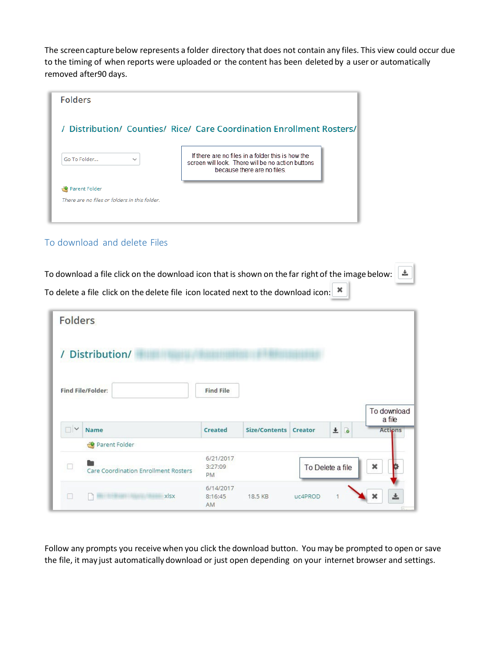The screencapture below represents a folder directory that does not contain any files. This view could occur due to the timing of when reports were uploaded or the content has been deleted by a user or automatically removed after90 days.

| <b>Folders</b>                                                        |                                                                                                                                       |  |  |  |  |
|-----------------------------------------------------------------------|---------------------------------------------------------------------------------------------------------------------------------------|--|--|--|--|
| / Distribution/ Counties/ Rice/ Care Coordination Enrollment Rosters/ |                                                                                                                                       |  |  |  |  |
| Go To Folder<br>$\checkmark$                                          | If there are no files in a folder this is how the<br>screen will look. There will be no action buttons<br>because there are no files. |  |  |  |  |
| Parent Folder                                                         |                                                                                                                                       |  |  |  |  |
| There are no files or folders in this folder.                         |                                                                                                                                       |  |  |  |  |

## To download and delete Files

To download a file click on the download icon that is shown on the far right of the image below:  $\vert$ 土 To delete a file click on the delete file icon located next to the download icon:  $\Vert \ast \Vert$ 

|  |  | $\sim$ weight will enter the weight life term is the context fluid to the weight leads |  |
|--|--|----------------------------------------------------------------------------------------|--|
|  |  |                                                                                        |  |
|  |  |                                                                                        |  |
|  |  |                                                                                        |  |

| <b>Folders</b> |                                      |                                   |                       |         |                     |                                         |
|----------------|--------------------------------------|-----------------------------------|-----------------------|---------|---------------------|-----------------------------------------|
|                | / Distribution/                      |                                   |                       |         |                     |                                         |
|                | <b>Find File/Folder:</b>             | <b>Find File</b>                  |                       |         |                     |                                         |
| $\Box$         | Name<br>Parent Folder                | <b>Created</b>                    | Size/Contents Creator |         | B<br>$\overline{+}$ | To download<br>a file<br><b>Actions</b> |
|                | Care Coordination Enrollment Rosters | 6/21/2017<br>3:27:09<br><b>PM</b> |                       |         | To Delete a file    | ×                                       |
|                | xlsx                                 | 6/14/2017<br>8:16:45<br>AM        | 18.5 KB               | uc4PROD | 1                   | 소<br>×                                  |

Follow any prompts you receive when you click the download button. You may be prompted to open or save the file, it may just automatically download or just open depending on your internet browser and settings.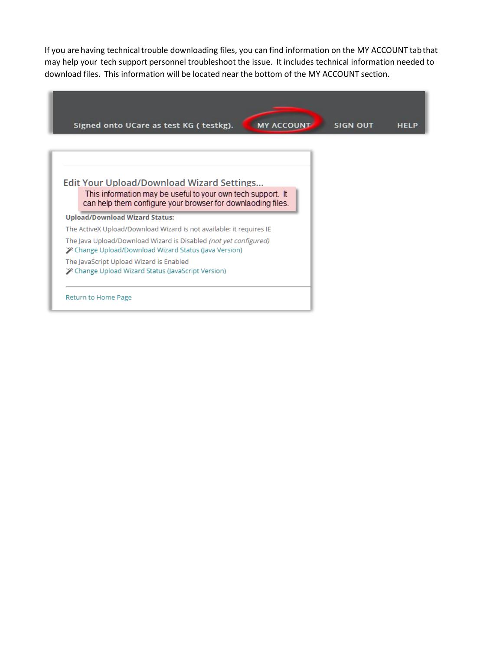If you are having technicaltrouble downloading files, you can find information on the MY ACCOUNT tabthat may help your tech support personnel troubleshoot the issue. It includes technical information needed to download files. This information will be located near the bottom of the MY ACCOUNT section.